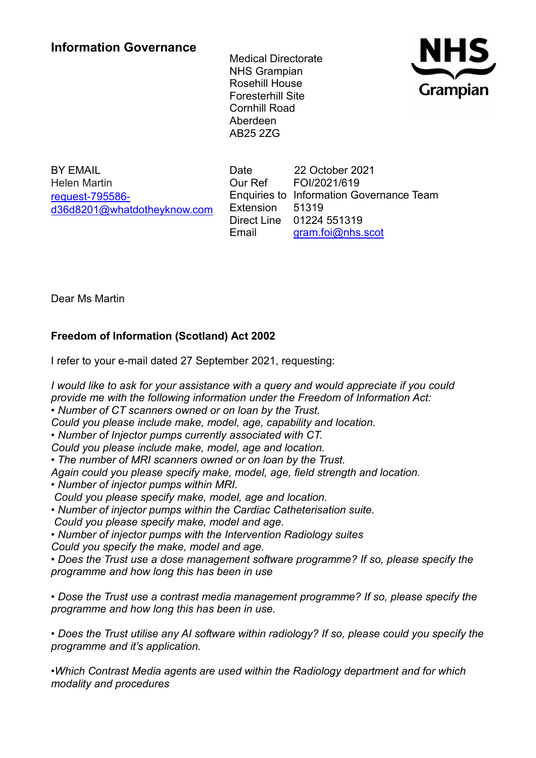# **Information Governance**

Medical Directorate NHS Grampian Rosehill House Foresterhill Site Cornhill Road Aberdeen AB25 2ZG



BY EMAIL Helen Martin [request-795586](mailto:xxxxxxxxxxxxxxxxxxxxxxx@xxxxxxxxxxxxxx.xxx) [d36d8201@whatdotheyknow.com](mailto:xxxxxxxxxxxxxxxxxxxxxxx@xxxxxxxxxxxxxx.xxx) Date 22 October 2021 Our Ref FOI/2021/619 Enquiries to Information Governance Team Extension 51319 Direct Line 01224 551319 Email [gram.foi@nhs.scot](mailto:xxxx.xxx@xxx.xxxx)

Dear Ms Martin

# **Freedom of Information (Scotland) Act 2002**

I refer to your e-mail dated 27 September 2021, requesting:

*I would like to ask for your assistance with a query and would appreciate if you could provide me with the following information under the Freedom of Information Act: • Number of CT scanners owned or on loan by the Trust.* 

*Could you please include make, model, age, capability and location.* 

*• Number of Injector pumps currently associated with CT.* 

*Could you please include make, model, age and location.* 

*• The number of MRI scanners owned or on loan by the Trust.* 

*Again could you please specify make, model, age, field strength and location.* 

*• Number of injector pumps within MRI.* 

*Could you please specify make, model, age and location.* 

*• Number of injector pumps within the Cardiac Catheterisation suite. Could you please specify make, model and age.* 

*• Number of injector pumps with the Intervention Radiology suites Could you specify the make, model and age.* 

• Does the Trust use a dose management software programme? If so, please specify the *programme and how long this has been in use* 

*• Dose the Trust use a contrast media management programme? If so, please specify the programme and how long this has been in use.* 

*• Does the Trust utilise any AI software within radiology? If so, please could you specify the programme and it's application.* 

*•Which Contrast Media agents are used within the Radiology department and for which modality and procedures*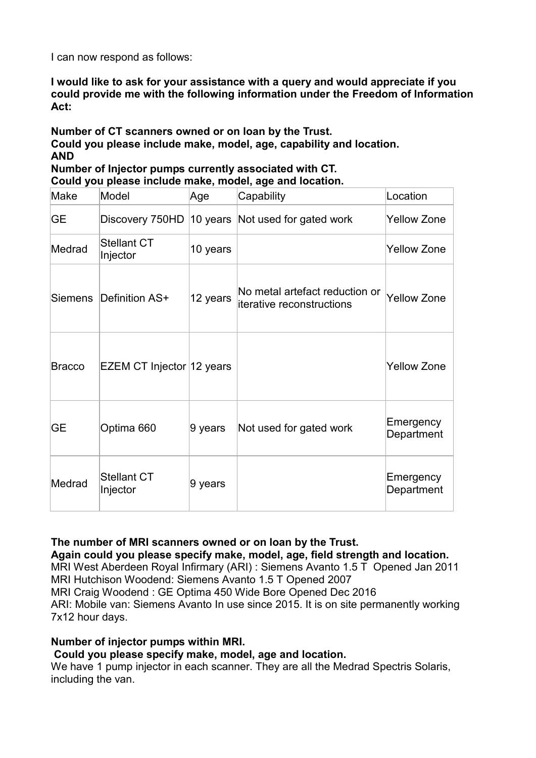I can now respond as follows:

**I would like to ask for your assistance with a query and would appreciate if you could provide me with the following information under the Freedom of Information Act:**

**Number of CT scanners owned or on loan by the Trust. Could you please include make, model, age, capability and location. AND Number of Injector pumps currently associated with CT.** 

**Could you please include make, model, age and location.** 

| Make      | Model                          | Age      | Capability                                                  | Location                |
|-----------|--------------------------------|----------|-------------------------------------------------------------|-------------------------|
| <b>GE</b> | Discovery 750HD                |          | 10 years Not used for gated work                            | Yellow Zone             |
| Medrad    | <b>Stellant CT</b><br>Injector | 10 years |                                                             | <b>Yellow Zone</b>      |
| Siemens   | Definition AS+                 | 12 years | No metal artefact reduction or<br>iterative reconstructions | <b>Yellow Zone</b>      |
| Bracco    | EZEM CT Injector 12 years      |          |                                                             | <b>Yellow Zone</b>      |
| <b>GE</b> | Optima 660                     | 9 years  | Not used for gated work                                     | Emergency<br>Department |
| Medrad    | <b>Stellant CT</b><br>Injector | 9 years  |                                                             | Emergency<br>Department |

**The number of MRI scanners owned or on loan by the Trust.** 

### **Again could you please specify make, model, age, field strength and location.**

MRI West Aberdeen Royal Infirmary (ARI) : Siemens Avanto 1.5 T Opened Jan 2011 MRI Hutchison Woodend: Siemens Avanto 1.5 T Opened 2007 MRI Craig Woodend : GE Optima 450 Wide Bore Opened Dec 2016

ARI: Mobile van: Siemens Avanto In use since 2015. It is on site permanently working 7x12 hour days.

## **Number of injector pumps within MRI.**

### **Could you please specify make, model, age and location.**

We have 1 pump injector in each scanner. They are all the Medrad Spectris Solaris, including the van.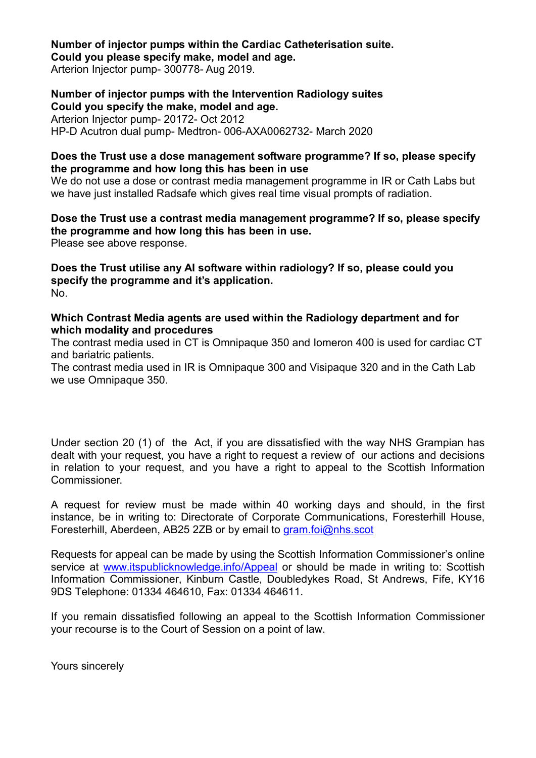**Number of injector pumps within the Cardiac Catheterisation suite. Could you please specify make, model and age.** 

Arterion Injector pump- 300778- Aug 2019.

**Number of injector pumps with the Intervention Radiology suites Could you specify the make, model and age.**  Arterion Injector pump- 20172- Oct 2012 HP-D Acutron dual pump- Medtron- 006-AXA0062732- March 2020

#### **Does the Trust use a dose management software programme? If so, please specify the programme and how long this has been in use**

We do not use a dose or contrast media management programme in IR or Cath Labs but we have just installed Radsafe which gives real time visual prompts of radiation.

**Dose the Trust use a contrast media management programme? If so, please specify the programme and how long this has been in use.**  Please see above response.

**Does the Trust utilise any AI software within radiology? If so, please could you specify the programme and it's application.**  No.

#### **Which Contrast Media agents are used within the Radiology department and for which modality and procedures**

The contrast media used in CT is Omnipaque 350 and Iomeron 400 is used for cardiac CT and bariatric patients.

The contrast media used in IR is Omnipaque 300 and Visipaque 320 and in the Cath Lab we use Omnipaque 350.

Under section 20 (1) of the Act, if you are dissatisfied with the way NHS Grampian has dealt with your request, you have a right to request a review of our actions and decisions in relation to your request, and you have a right to appeal to the Scottish Information Commissioner.

A request for review must be made within 40 working days and should, in the first instance, be in writing to: Directorate of Corporate Communications, Foresterhill House, Foresterhill, Aberdeen, AB25 2ZB or by email to [gram.foi@nhs.scot](mailto:xxxx.xxx@xxx.xxxx)

Requests for appeal can be made by using the Scottish Information Commissioner's online service at [www.itspublicknowledge.info/Appeal](http://www.itspublicknowledge.info/Appeal) or should be made in writing to: Scottish Information Commissioner, Kinburn Castle, Doubledykes Road, St Andrews, Fife, KY16 9DS Telephone: 01334 464610, Fax: 01334 464611.

If you remain dissatisfied following an appeal to the Scottish Information Commissioner your recourse is to the Court of Session on a point of law.

Yours sincerely